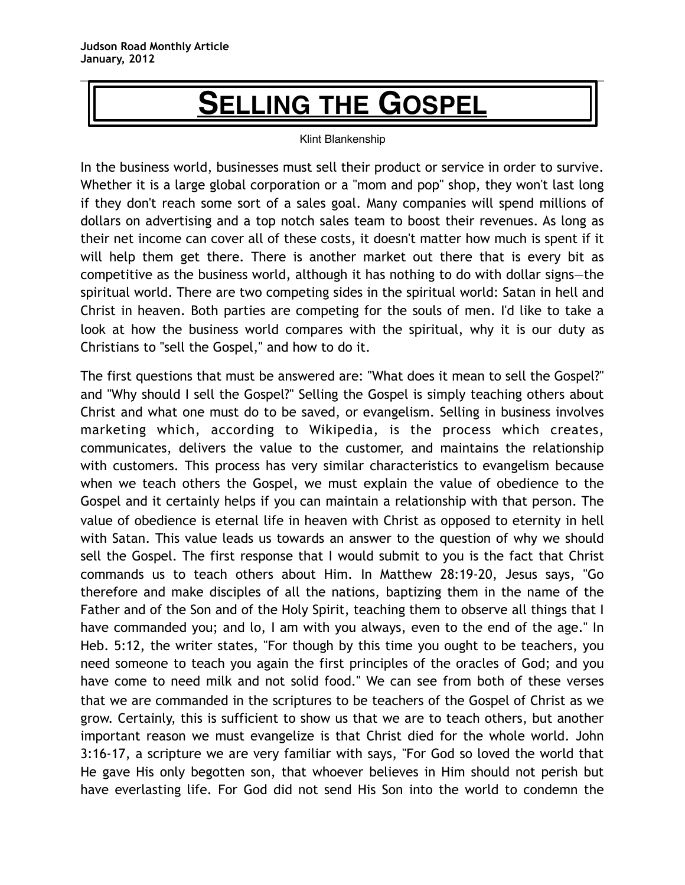## **SELLING THE GOSPEL**

## Klint Blankenship

In the business world, businesses must sell their product or service in order to survive. Whether it is a large global corporation or a "mom and pop" shop, they won't last long if they don't reach some sort of a sales goal. Many companies will spend millions of dollars on advertising and a top notch sales team to boost their revenues. As long as their net income can cover all of these costs, it doesn't matter how much is spent if it will help them get there. There is another market out there that is every bit as competitive as the business world, although it has nothing to do with dollar signs—the spiritual world. There are two competing sides in the spiritual world: Satan in hell and Christ in heaven. Both parties are competing for the souls of men. I'd like to take a look at how the business world compares with the spiritual, why it is our duty as Christians to "sell the Gospel," and how to do it.

The first questions that must be answered are: "What does it mean to sell the Gospel?" and "Why should I sell the Gospel?" Selling the Gospel is simply teaching others about Christ and what one must do to be saved, or evangelism. Selling in business involves marketing which, according to Wikipedia, is the process which creates, communicates, delivers the value to the customer, and maintains the relationship with customers. This process has very similar characteristics to evangelism because when we teach others the Gospel, we must explain the value of obedience to the Gospel and it certainly helps if you can maintain a relationship with that person. The value of obedience is eternal life in heaven with Christ as opposed to eternity in hell with Satan. This value leads us towards an answer to the question of why we should sell the Gospel. The first response that I would submit to you is the fact that Christ commands us to teach others about Him. In Matthew 28:19-20, Jesus says, "Go therefore and make disciples of all the nations, baptizing them in the name of the Father and of the Son and of the Holy Spirit, teaching them to observe all things that I have commanded you; and lo, I am with you always, even to the end of the age." In Heb. 5:12, the writer states, "For though by this time you ought to be teachers, you need someone to teach you again the first principles of the oracles of God; and you have come to need milk and not solid food." We can see from both of these verses that we are commanded in the scriptures to be teachers of the Gospel of Christ as we grow. Certainly, this is sufficient to show us that we are to teach others, but another important reason we must evangelize is that Christ died for the whole world. John 3:16-17, a scripture we are very familiar with says, "For God so loved the world that He gave His only begotten son, that whoever believes in Him should not perish but have everlasting life. For God did not send His Son into the world to condemn the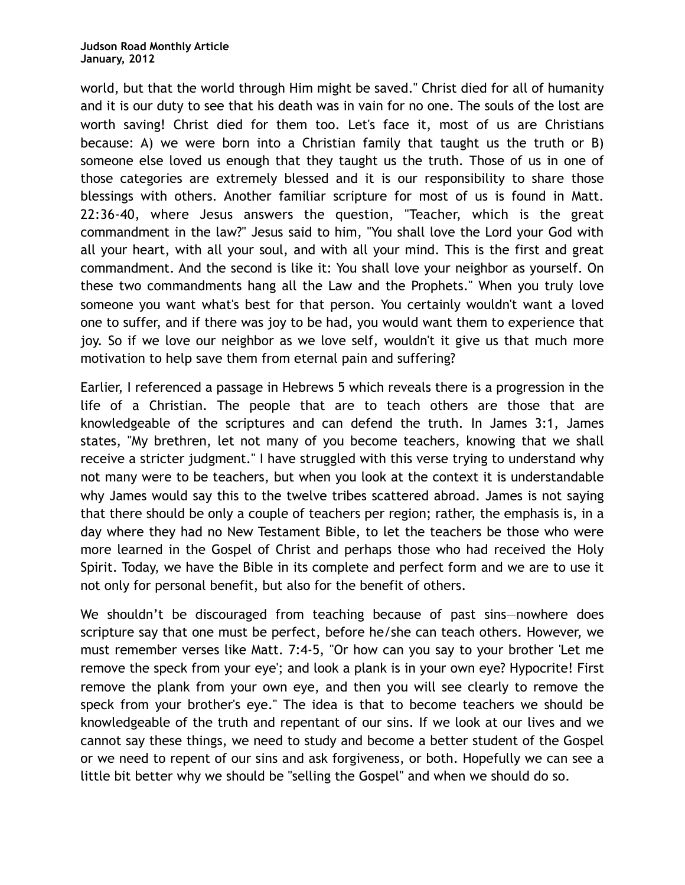world, but that the world through Him might be saved." Christ died for all of humanity and it is our duty to see that his death was in vain for no one. The souls of the lost are worth saving! Christ died for them too. Let's face it, most of us are Christians because: A) we were born into a Christian family that taught us the truth or B) someone else loved us enough that they taught us the truth. Those of us in one of those categories are extremely blessed and it is our responsibility to share those blessings with others. Another familiar scripture for most of us is found in Matt. 22:36-40, where Jesus answers the question, "Teacher, which is the great commandment in the law?" Jesus said to him, "You shall love the Lord your God with all your heart, with all your soul, and with all your mind. This is the first and great commandment. And the second is like it: You shall love your neighbor as yourself. On these two commandments hang all the Law and the Prophets." When you truly love someone you want what's best for that person. You certainly wouldn't want a loved one to suffer, and if there was joy to be had, you would want them to experience that joy. So if we love our neighbor as we love self, wouldn't it give us that much more motivation to help save them from eternal pain and suffering?

Earlier, I referenced a passage in Hebrews 5 which reveals there is a progression in the life of a Christian. The people that are to teach others are those that are knowledgeable of the scriptures and can defend the truth. In James 3:1, James states, "My brethren, let not many of you become teachers, knowing that we shall receive a stricter judgment." I have struggled with this verse trying to understand why not many were to be teachers, but when you look at the context it is understandable why James would say this to the twelve tribes scattered abroad. James is not saying that there should be only a couple of teachers per region; rather, the emphasis is, in a day where they had no New Testament Bible, to let the teachers be those who were more learned in the Gospel of Christ and perhaps those who had received the Holy Spirit. Today, we have the Bible in its complete and perfect form and we are to use it not only for personal benefit, but also for the benefit of others.

We shouldn't be discouraged from teaching because of past sins-nowhere does scripture say that one must be perfect, before he/she can teach others. However, we must remember verses like Matt. 7:4-5, "Or how can you say to your brother 'Let me remove the speck from your eye'; and look a plank is in your own eye? Hypocrite! First remove the plank from your own eye, and then you will see clearly to remove the speck from your brother's eye." The idea is that to become teachers we should be knowledgeable of the truth and repentant of our sins. If we look at our lives and we cannot say these things, we need to study and become a better student of the Gospel or we need to repent of our sins and ask forgiveness, or both. Hopefully we can see a little bit better why we should be "selling the Gospel" and when we should do so.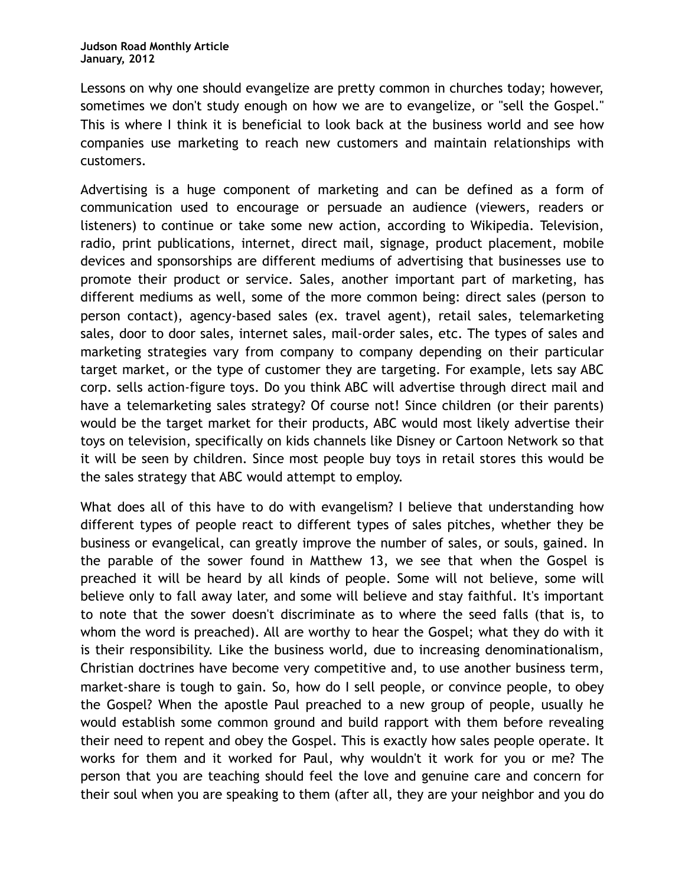Lessons on why one should evangelize are pretty common in churches today; however, sometimes we don't study enough on how we are to evangelize, or "sell the Gospel." This is where I think it is beneficial to look back at the business world and see how companies use marketing to reach new customers and maintain relationships with customers.

Advertising is a huge component of marketing and can be defined as a form of communication used to encourage or persuade an audience (viewers, readers or listeners) to continue or take some new action, according to Wikipedia. Television, radio, print publications, internet, direct mail, signage, product placement, mobile devices and sponsorships are different mediums of advertising that businesses use to promote their product or service. Sales, another important part of marketing, has different mediums as well, some of the more common being: direct sales (person to person contact), agency-based sales (ex. travel agent), retail sales, telemarketing sales, door to door sales, internet sales, mail-order sales, etc. The types of sales and marketing strategies vary from company to company depending on their particular target market, or the type of customer they are targeting. For example, lets say ABC corp. sells action-figure toys. Do you think ABC will advertise through direct mail and have a telemarketing sales strategy? Of course not! Since children (or their parents) would be the target market for their products, ABC would most likely advertise their toys on television, specifically on kids channels like Disney or Cartoon Network so that it will be seen by children. Since most people buy toys in retail stores this would be the sales strategy that ABC would attempt to employ.

What does all of this have to do with evangelism? I believe that understanding how different types of people react to different types of sales pitches, whether they be business or evangelical, can greatly improve the number of sales, or souls, gained. In the parable of the sower found in Matthew 13, we see that when the Gospel is preached it will be heard by all kinds of people. Some will not believe, some will believe only to fall away later, and some will believe and stay faithful. It's important to note that the sower doesn't discriminate as to where the seed falls (that is, to whom the word is preached). All are worthy to hear the Gospel; what they do with it is their responsibility. Like the business world, due to increasing denominationalism, Christian doctrines have become very competitive and, to use another business term, market-share is tough to gain. So, how do I sell people, or convince people, to obey the Gospel? When the apostle Paul preached to a new group of people, usually he would establish some common ground and build rapport with them before revealing their need to repent and obey the Gospel. This is exactly how sales people operate. It works for them and it worked for Paul, why wouldn't it work for you or me? The person that you are teaching should feel the love and genuine care and concern for their soul when you are speaking to them (after all, they are your neighbor and you do